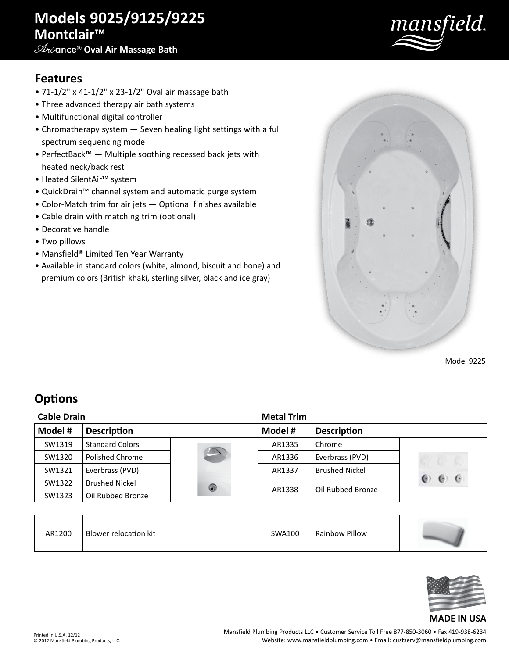# **Models 9025/9125/9225 Montclair™**

## **Ari**ance® **Oval Air Massage Bath**



### **Features**

- 71-1/2" x 41-1/2" x 23-1/2" Oval air massage bath
- Three advanced therapy air bath systems
- Multifunctional digital controller
- Chromatherapy system Seven healing light settings with a full spectrum sequencing mode
- PerfectBack™ Multiple soothing recessed back jets with heated neck/back rest
- Heated SilentAir™ system
- QuickDrain™ channel system and automatic purge system
- Color-Match trim for air jets Optional finishes available
- Cable drain with matching trim (optional)
- Decorative handle
- Two pillows
- Mansfield® Limited Ten Year Warranty
- Available in standard colors (white, almond, biscuit and bone) and premium colors (British khaki, sterling silver, black and ice gray)



Model 9225

## **Options**

| <b>Cable Drain</b> |                        |                          | <b>Metal Trim</b> |                       |                 |
|--------------------|------------------------|--------------------------|-------------------|-----------------------|-----------------|
| Model #            | <b>Description</b>     |                          | Model #           | <b>Description</b>    |                 |
| SW1319             | <b>Standard Colors</b> |                          | AR1335            | Chrome                |                 |
| SW1320             | Polished Chrome        | $\overline{\phantom{a}}$ | AR1336            | Everbrass (PVD)       |                 |
| SW1321             | Everbrass (PVD)        |                          | AR1337            | <b>Brushed Nickel</b> |                 |
| SW1322             | <b>Brushed Nickel</b>  | 0                        | AR1338            | Oil Rubbed Bronze     | $\epsilon$<br>e |
| SW1323             | Oil Rubbed Bronze      |                          |                   |                       |                 |

| AR1200 | Blower relocation kit | SWA100 | Rainbow Pillow |  |
|--------|-----------------------|--------|----------------|--|
|--------|-----------------------|--------|----------------|--|



#### **MADE IN USA**